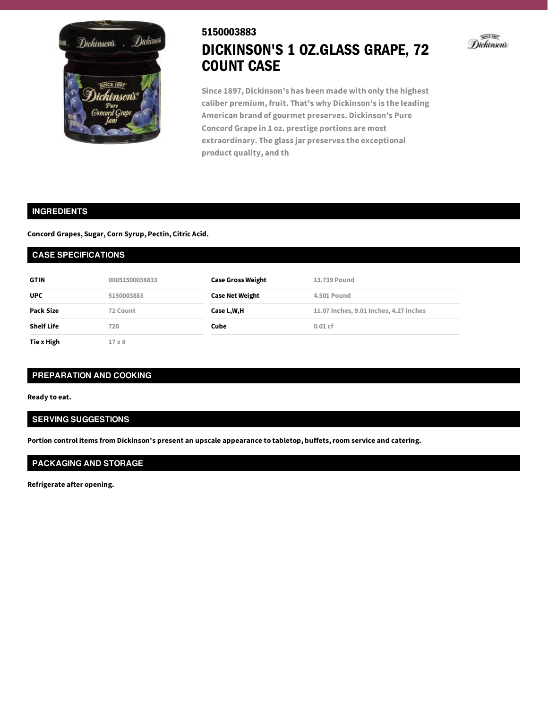

# 5150003883 DICKINSON'S 1 OZ.GLASS GRAPE, 72 COUNT CASE



**Since 1897, Dickinson's has been made with only the highest caliber premium, fruit. That's why Dickinson's is the leading American brand of gourmet preserves. Dickinson's Pure Concord Grape in 1 oz. prestige portions are most extraordinary. The glass jar preserves the exceptional product quality, and th**

### **INGREDIENTS**

**Concord Grapes, Sugar, Corn Syrup, Pectin, Citric Acid.**

| <b>CASE SPECIFICATIONS</b> |                |                          |                                        |  |
|----------------------------|----------------|--------------------------|----------------------------------------|--|
| <b>GTIN</b>                | 00051500038833 | <b>Case Gross Weight</b> | 13.739 Pound                           |  |
| <b>UPC</b>                 | 5150003883     | <b>Case Net Weight</b>   | <b>4.501 Pound</b>                     |  |
| Pack Size                  | 72 Count       | Case L,W,H               | 11.07 Inches, 9.01 Inches, 4.27 Inches |  |
| <b>Shelf Life</b>          | 720            | Cube                     | $0.01$ cf                              |  |
| Tie x High                 | $17 \times 8$  |                          |                                        |  |

### **PREPARATION AND COOKING**

**Ready to eat.**

## **SERVING SUGGESTIONS**

**Portion control items from Dickinson's present an upscale appearance to tabletop, buffets,room service and catering.**

## **PACKAGING AND STORAGE**

**Refrigerate after opening.**